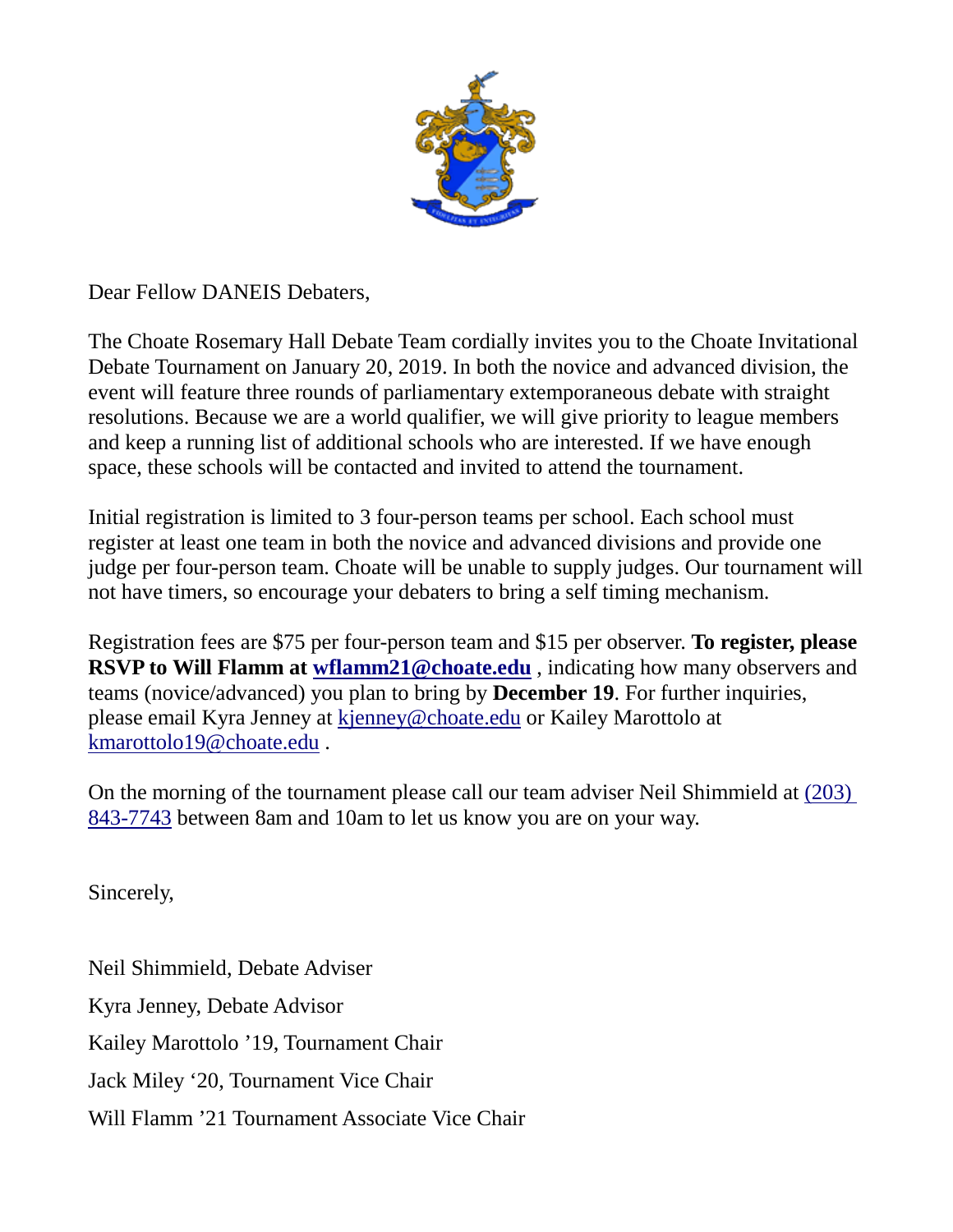

Dear Fellow DANEIS Debaters,

The Choate Rosemary Hall Debate Team cordially invites you to the Choate Invitational Debate Tournament on January 20, 2019. In both the novice and advanced division, the event will feature three rounds of parliamentary extemporaneous debate with straight resolutions. Because we are a world qualifier, we will give priority to league members and keep a running list of additional schools who are interested. If we have enough space, these schools will be contacted and invited to attend the tournament.

Initial registration is limited to 3 four-person teams per school. Each school must register at least one team in both the novice and advanced divisions and provide one judge per four-person team. Choate will be unable to supply judges. Our tournament will not have timers, so encourage your debaters to bring a self timing mechanism.

Registration fees are \$75 per four-person team and \$15 per observer. **To register, please RSVP to Will Flamm at [wflamm21@choate.edu](mailto:wflamm21@choate.edu)**, indicating how many observers and teams (novice/advanced) you plan to bring by **December 19**. For further inquiries, please email Kyra Jenney at [kjenney@choate.edu](mailto:kjenney@choate.edu) or Kailey Marottolo at [kmarottolo19@choate.edu](mailto:kmarottolo19@choate.edu) .

On the morning of the tournament please call our team adviser Neil Shimmield at [\(203\)](tel:%5C%28203%29%20843-7743)  [843-7743](tel:%5C%28203%29%20843-7743) between 8am and 10am to let us know you are on your way.

Sincerely,

Neil Shimmield, Debate Adviser Kyra Jenney, Debate Advisor Kailey Marottolo '19, Tournament Chair Jack Miley '20, Tournament Vice Chair Will Flamm '21 Tournament Associate Vice Chair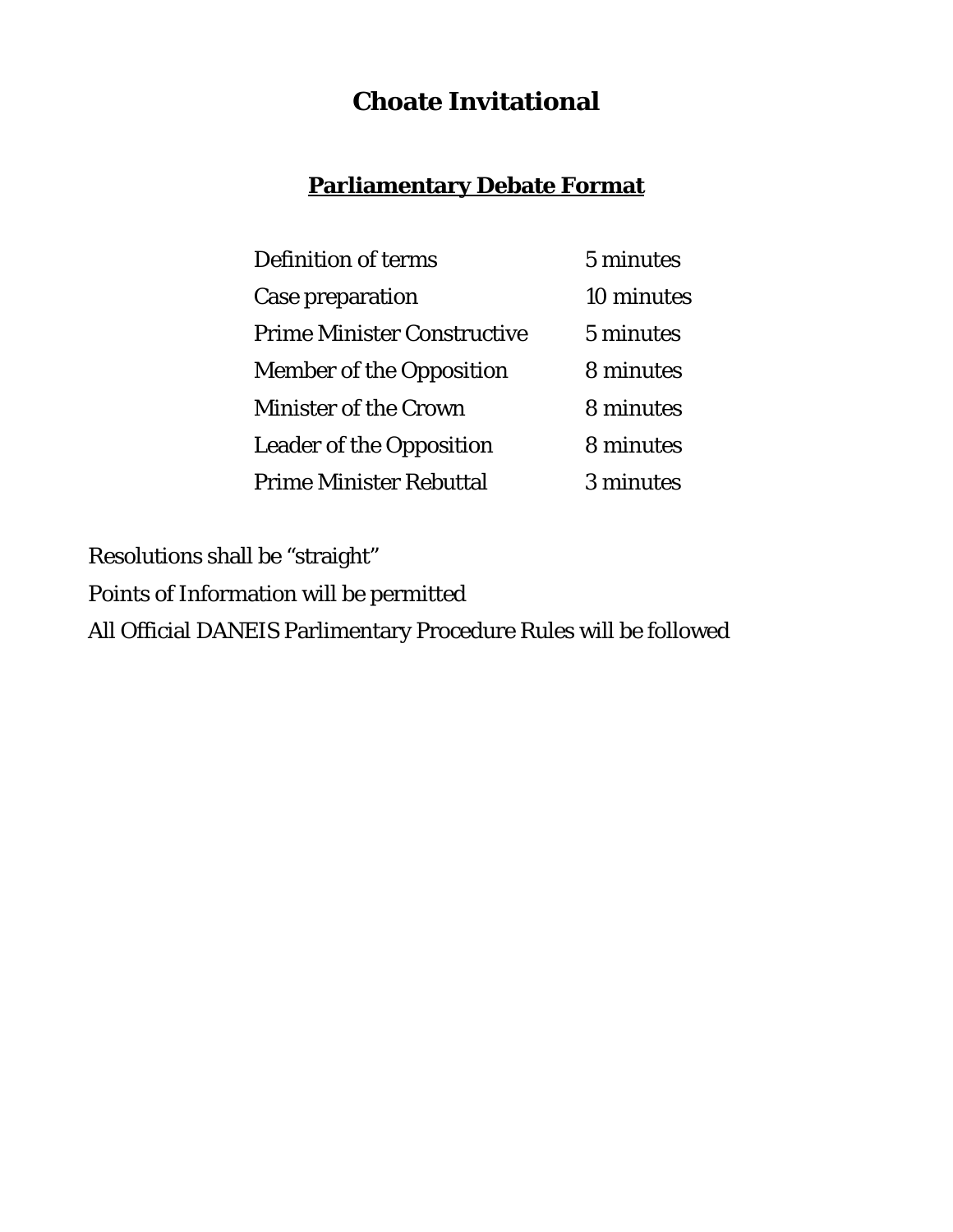# **Choate Invitational**

## **Parliamentary Debate Format**

| Definition of terms                | 5 minutes  |
|------------------------------------|------------|
| Case preparation                   | 10 minutes |
| <b>Prime Minister Constructive</b> | 5 minutes  |
| <b>Member of the Opposition</b>    | 8 minutes  |
| <b>Minister of the Crown</b>       | 8 minutes  |
| <b>Leader of the Opposition</b>    | 8 minutes  |
| <b>Prime Minister Rebuttal</b>     | 3 minutes  |

Resolutions shall be "straight" Points of Information will be permitted All Official DANEIS Parlimentary Procedure Rules will be followed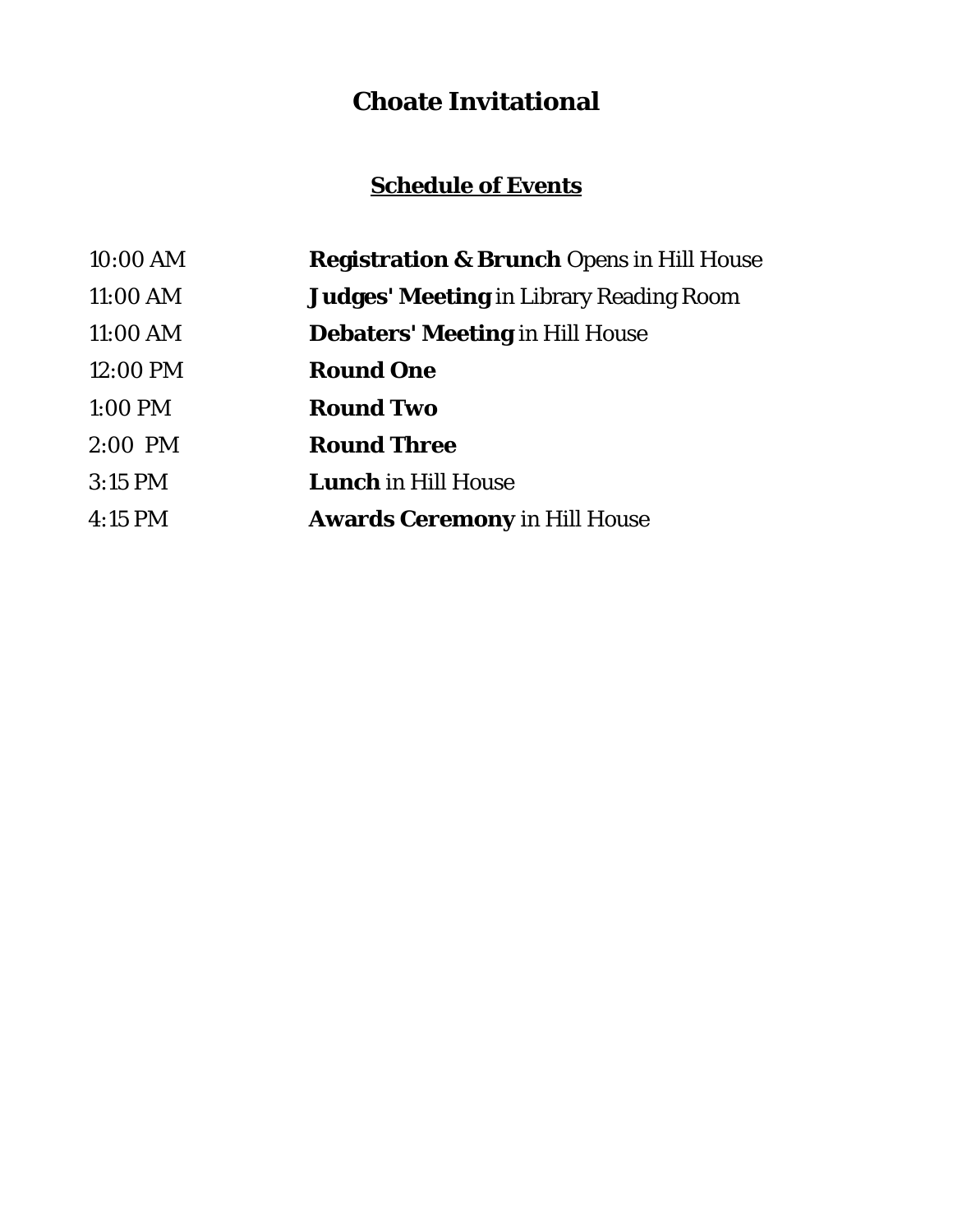# **Choate Invitational**

# **Schedule of Events**

| $10:00$ AM | <b>Registration &amp; Brunch Opens in Hill House</b> |
|------------|------------------------------------------------------|
| 11:00 AM   | <b>Judges' Meeting</b> in Library Reading Room       |
| 11:00 AM   | <b>Debaters' Meeting in Hill House</b>               |
| 12:00 PM   | <b>Round One</b>                                     |
| 1:00 PM    | <b>Round Two</b>                                     |
| $2:00$ PM  | <b>Round Three</b>                                   |
| $3:15$ PM  | <b>Lunch</b> in Hill House                           |
| $4:15$ PM  | <b>Awards Ceremony in Hill House</b>                 |
|            |                                                      |